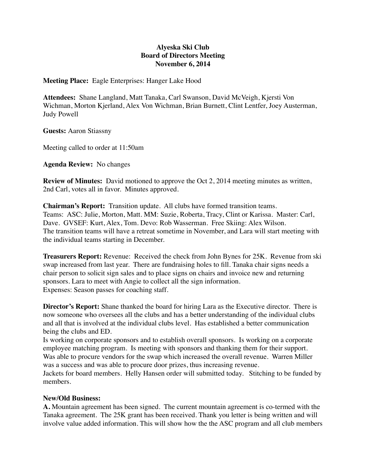## **Alyeska Ski Club Board of Directors Meeting November 6, 2014**

**Meeting Place:** Eagle Enterprises: Hanger Lake Hood

**Attendees:** Shane Langland, Matt Tanaka, Carl Swanson, David McVeigh, Kjersti Von Wichman, Morton Kjerland, Alex Von Wichman, Brian Burnett, Clint Lentfer, Joey Austerman, Judy Powell

**Guests:** Aaron Stiassny

Meeting called to order at 11:50am

**Agenda Review:** No changes

**Review of Minutes:** David motioned to approve the Oct 2, 2014 meeting minutes as written, 2nd Carl, votes all in favor. Minutes approved.

**Chairman's Report:** Transition update. All clubs have formed transition teams. Teams: ASC: Julie, Morton, Matt. MM: Suzie, Roberta, Tracy, Clint or Karissa. Master: Carl, Dave. GVSEF: Kurt, Alex, Tom. Devo: Rob Wasserman. Free Skiing: Alex Wilson. The transition teams will have a retreat sometime in November, and Lara will start meeting with the individual teams starting in December.

**Treasurers Report:** Revenue: Received the check from John Bynes for 25K. Revenue from ski swap increased from last year. There are fundraising holes to fill. Tanaka chair signs needs a chair person to solicit sign sales and to place signs on chairs and invoice new and returning sponsors. Lara to meet with Angie to collect all the sign information. Expenses: Season passes for coaching staff.

**Director's Report:** Shane thanked the board for hiring Lara as the Executive director. There is now someone who oversees all the clubs and has a better understanding of the individual clubs and all that is involved at the individual clubs level. Has established a better communication being the clubs and ED.

Is working on corporate sponsors and to establish overall sponsors. Is working on a corporate employee matching program. Is meeting with sponsors and thanking them for their support. Was able to procure vendors for the swap which increased the overall revenue. Warren Miller was a success and was able to procure door prizes, thus increasing revenue.

Jackets for board members. Helly Hansen order will submitted today. Stitching to be funded by members.

## **New/Old Business:**

**A.** Mountain agreement has been signed. The current mountain agreement is co-termed with the Tanaka agreement. The 25K grant has been received. Thank you letter is being written and will involve value added information. This will show how the the ASC program and all club members